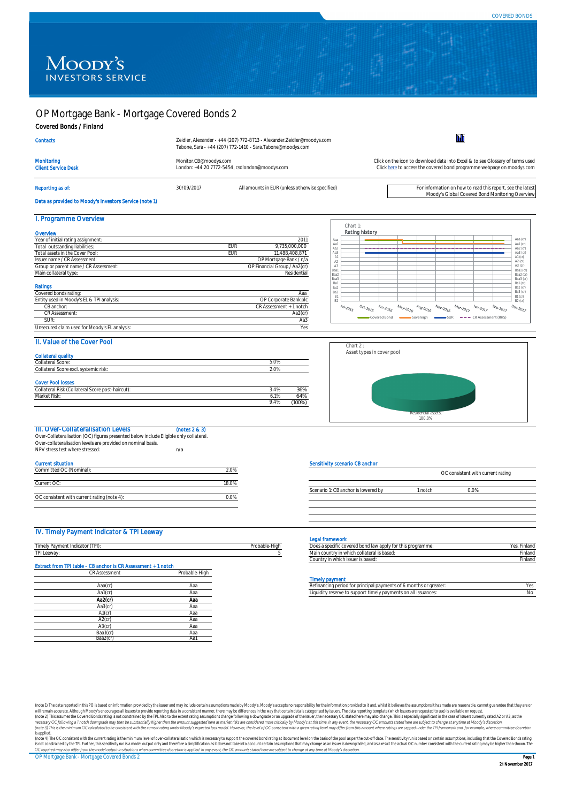Prog





# OP Mortgage Bank - Mortgage Covered Bonds 2

Covered Bonds / Finland

Reporting as of: 30/09/2017 30/09/2017 All amounts in EUR (unless otherwise specified) For information on how to read this report, see the latest Moody's Global Covered Bond Monitoring Overview

Data as provided to Moody's Investors Service (note 1)

## I. Programme Overview

## II. Value of the Cover Pool

| $\sim$<br>ollateral<br>`t-haircut).<br>– Pic⊢<br>`∩llaterai_<br>nost<br>$C\cap C$<br>∸<br>ЭU<br>7١١٠ | .4%<br>$\sim$<br><u>. J</u> | $\cap$ $\wedge$ $\cap$ .<br>h<br>JU 70 |
|------------------------------------------------------------------------------------------------------|-----------------------------|----------------------------------------|
| Risk.<br>uvlarket i                                                                                  | .1%<br>، ب                  | .4%<br>.                               |
|                                                                                                      | $\sim$ $\sim$               |                                        |



| <b>TII. Over-Collateralisation Levels</b>                                             | (notes 2 & 3) |
|---------------------------------------------------------------------------------------|---------------|
| Over-Collateralisation (OC) figures presented below include Eligible only collateral. |               |
| Over-collateralisation levels are provided on nominal basis.                          |               |
| NPV stress test where stressed:                                                       | n/a           |
|                                                                                       |               |

| Current situation                           |       |
|---------------------------------------------|-------|
| Committed OC (Nominal):                     | 2.0%  |
|                                             |       |
| Current OC:                                 | 18.0% |
|                                             |       |
| OC consistent with current rating (note 4): |       |
|                                             |       |

(note 1) The data reported in this PO is based on information provided by the issuer and may include certain assumptions made by Moody's. Moody's accepts no responsibility for the information provided to it and, whilst it will remain accurate. Although Moody's encourages all issuers to provide reporting data in a consistent manner, there may be differences in the way that certain data is categorised by issuers. The data reporting template ( (note 2) This assumes the Covered Bonds rating is not constrained by the TPI. Also to the extent rating assumptions change following a downgrade or an upgrade of the Issuer, the necessary OC stated here may also change. Th necessary OC following a 1 notch downgrade may then be substantially higher than the amount suggested here as market risks are considered more critically by Moody's at this time. In any event, the necessary OC amounts stat (note 3) This is the minimum OC calculated to be consistent with the current rating under Moody's expected loss model. However, the level of OC consistent with a given rating level may differ from this amount where ratings *is applied.*

(note 4) The OC consistent with the current rating is the minimum level of over-collateralisation which is necessary to support the covered bond rating at its current level on the basis of the pool as per the cut-off date. is not constrained by the TPI. Further, this sensitivity run is a model output only and therefore a simplification as it does not take into account certain assumptions that may change as an issuer is downgraded, and as a r OC required may also differ from the model output in situations when committee discretion is applied. In any event, the OC amounts stated here are subject to change at any time at Moody's discretion.

## IV. Timely Payment Indicator & TPI Leeway

### Legal framework

|                                                |                                               | .                                                                                       |        |
|------------------------------------------------|-----------------------------------------------|-----------------------------------------------------------------------------------------|--------|
| (TPI)<br>Timely Par<br><b>GVII</b><br>. uruutu | $\mathbf{r}$ and $\mathbf{r}$<br>robable-High | $\sim$ nond $\cdots$<br>i specific covered bond<br>this programme: "<br>LIUVV UNNIV TUL |        |
| <b>TDLL</b><br>기 Leeway                        |                                               | $5.0010 + 0.000$<br>. + r<br>. 111<br>-is dased:                                        | inland |

| Does a specific covered bond law apply for this programme: | Yes, Finland |
|------------------------------------------------------------|--------------|
| Main country in which collateral is based:                 | Finland      |
| Country in which issuer is based:                          | Finland      |

#### Timely payment

| Aaa(cr | mad | or greater<br>or principal paym.<br>u 6 mont <sup>r</sup><br>ents of l<br>I period for<br>Refinan |  |
|--------|-----|---------------------------------------------------------------------------------------------------|--|
| Aa1(cr | mad | y payments on all issuances:<br>timely.<br>D SUDDOL.<br>uuldity m<br>reserve tul                  |  |

| <b>CR Assessment</b> | Probable-High |
|----------------------|---------------|
|                      |               |
| Aaa(cr)              | Aaa           |
| Aa $1$ ( $cr$ )      | Aaa           |
| Aa2(cr)              | Aaa           |
| Aa3(cr)              | Aaa           |
| $A1$ (cr)            | Aaa           |
| $A2$ (cr)            | Aaa           |
| $A3$ (cr)            | Aaa           |
| Baa1(cr)             | Aaa           |
| Baa2(cr)             | Aa1           |

OP Mortgage Bank - Mortgage Covered Bonds 2

| <b>Contacts</b>                          | Zeidler, Alexander - +44 (207) 772-8713 - Alexander. Zeidler@moodys.com<br>Tabone, Sara - +44 (207) 772-1410 - Sara. Tabone@moodys.com |                                                                                                                                                        |
|------------------------------------------|----------------------------------------------------------------------------------------------------------------------------------------|--------------------------------------------------------------------------------------------------------------------------------------------------------|
| Monitoring<br><b>Client Service Desk</b> | Monitor.CB@moodys.com<br>London: +44 20 7772-5454, csdlondon@moodys.com                                                                | Click on the icon to download data into Excel & to see Glossary of terms used<br>Click here to access the covered bond programme webpage on moodys.com |
|                                          |                                                                                                                                        |                                                                                                                                                        |

| Overview                              |     |                              |
|---------------------------------------|-----|------------------------------|
| Year of initial rating assignment:    |     | 2011                         |
| Total outstanding liabilities:        | EUR | 9,735,000,000                |
| Total assets in the Cover Pool:       | EUR | 11,488,408,871               |
| Issuer name / CR Assessment:          |     | OP Mortgage Bank / n/a       |
| Group or parent name / CR Assessment: |     | OP Financial Group / Aa2(cr) |
| Main collateral type:                 |     | Residential                  |

| Collateral quality                    |         |
|---------------------------------------|---------|
| <b>Collateral Score:</b>              | $5.0\%$ |
| Collateral Score excl. systemic risk: | 2.0%    |
|                                       |         |

| Ratings                                       |                         |
|-----------------------------------------------|-------------------------|
| Covered bonds rating:                         | Aaa                     |
| Entity used in Moody's EL & TPI analysis:     | OP Corporate Bank plc   |
| CB anchor:                                    | CR Assessment + 1 notch |
| <b>CR Assessment:</b>                         | Aa2(cr)                 |
| SUR:                                          | Aa3                     |
| Unsecured claim used for Moody's EL analysis: | Yes                     |

### Cover Pool losses

### Sensitivity scenario CB anchor



Scenario 1: CB anchor is lowered by 1 notch 0.0%

### Extract from TPI table - CB anchor is CR Assessment + 1 notch





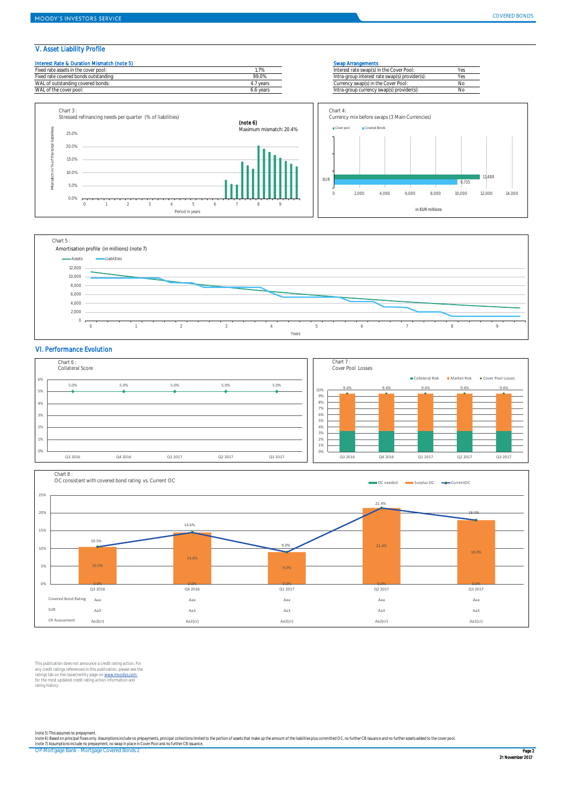## V. Asset Liability Profile

| Interest Rate & Duration Mismatch (note 5 |  |  |
|-------------------------------------------|--|--|
|-------------------------------------------|--|--|

| Fixed rate assets in the cover pool:  |           | Interest rate swap(s) in the Cover Pool:       |    |
|---------------------------------------|-----------|------------------------------------------------|----|
| Fixed rate covered bonds outstanding: | 99.0%     | Intra-group interest rate swap(s) provider(s): | ぃ  |
| WAL of outstanding covered bonds:     | year:     | Currency swap(s) in the Cover Pool:            | No |
| WAL of the cover pool:                | 6.6 years | Intra-group currency swap(s) provider(s):      | No |

#### **Swap Arrangements**

| Interest rate swap(s) in the Cover Pool:       | Yes |
|------------------------------------------------|-----|
| Intra-group interest rate swap(s) provider(s): | Yes |
| Currency swap(s) in the Cover Pool:            | No. |
| Intra-group currency swap(s) provider(s):      | No  |

## VI. Performance Evolution

This publication does not announce a credit rating action. For any credit ratings referenced in this publication, please see the ratings tab on the issuer/entity page on www.moodys.com for the most updated credit rating action information and rating history.

OP Mortgage Bank - Mortgage Covered Bonds 2



*(note 5) This assumes no prepayment.* (note 6) Based on principal flows only. Assumptions include no prepayments, principal collections limited to the portion of assets that make up the amount of the liabilities plus committed OC, no further CB issuance and no *(note 7) Assumptions include no prepayment, no swap in place in Cover Pool and no further CB issuance.*





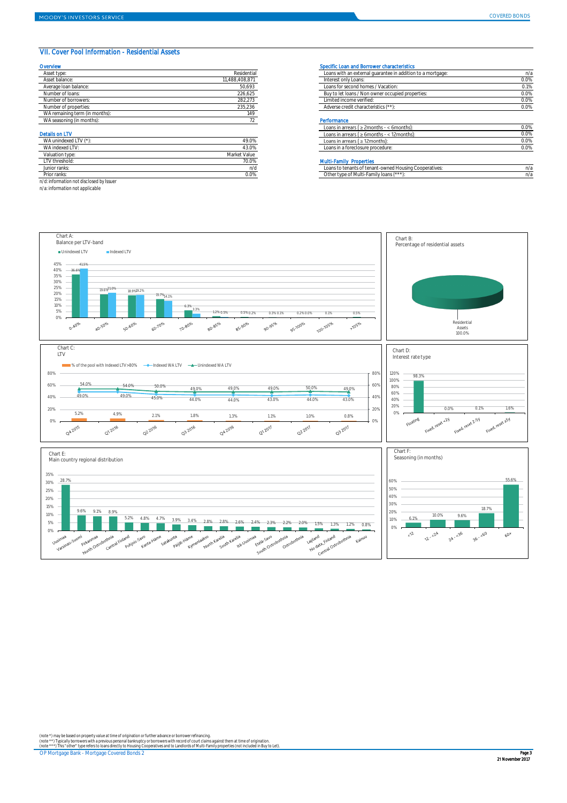## VII. Cover Pool Information - Residential Assets

| Asset type:           | Residential   | Loans with an external quarantee in addition to a mortgage: | n/a     |
|-----------------------|---------------|-------------------------------------------------------------|---------|
| Asset balance:        | 1,488,408,871 | Interest only Loans:                                        | 0.0%    |
| Average Ioan balance: | 50,693        | Loans for second homes / Vacation:                          | 0.1%    |
| Number of loans:      | 226,625       | Buy to let loans / Non owner occupied properties:           | $0.0\%$ |
| Number of borrowers:  | 282,273       | Limited income verified:                                    | $0.0\%$ |
| Number of properties: | 235,236       | Adverse credit characteristics (**)                         | $0.0\%$ |

|                       |       | Loans in arrears ( $\geq$ 2 months - $\lt$ 6 months): | 0.0% |
|-----------------------|-------|-------------------------------------------------------|------|
| <b>Details on LTV</b> |       | < 12months):<br>Loans in arrears ( $\geq 6$ months -  | 0.0% |
| WA unindexed LTV (*)  | 49.0% | Loans in arrears ( $\geq$ 12 months):                 | 0.0% |
| WA indexed LTV:       | 13.0% | Loans in a foreclosure procedure:                     | 0.0% |

#### **Multi-Family Properties**

| WA unindexed LTV (*): | 49.0%        |
|-----------------------|--------------|
| WA indexed LTV:       | 43.0%        |
| Valuation type:       | Market Value |
| LTV threshold:        | 70.0%        |
| Junior ranks:         | n/c          |
| Prior ranks:          | 0.0%         |

| ∵rank<br>IIOL |        | OODEL ATIVES:<br>teriani - 1<br>JUSILI! I<br>N 1 1<br>-UVVIIGU I<br>∟∪∪ | $\cdots$ |
|---------------|--------|-------------------------------------------------------------------------|----------|
| Prior ranks   | V.V /L | Othe<br>amily loans i<br>TADE OF IAIT                                   | 1/2      |

*n/d: information not disclosed by Issuer*

| Asset type:                    | Residential    | Loans with an external guarantee in addition to a mortgage: | $n/\varepsilon$ |
|--------------------------------|----------------|-------------------------------------------------------------|-----------------|
| Asset balance:                 | 11,488,408,871 | Interest only Loans:                                        | 0.0%            |
| Average Ioan balance:          | 50,693         | Loans for second homes / Vacation:                          | 0.1%            |
| Number of Ioans:               | 226,625        | Buy to let loans / Non owner occupied properties:           | 0.0%            |
| Number of borrowers:           | 282,273        | Limited income verified:                                    | 0.0%            |
| Number of properties:          | 235,236        | Adverse credit characteristics (**):                        | 0.0%            |
| WA remaining term (in months): | 149            |                                                             |                 |
| WA seasoning (in months):      |                | Performance                                                 |                 |

*n/a: information not applicable*

#### Overview Specific Loan and Borrower characteristics

OP Mortgage Bank - Mortgage Covered Bonds 2

*(note \*) may be based on property value at time of origination or further advance or borrower refinancing.*

*(note \*\*) Typically borrowers with a previous personal bankruptcy or borrowers with record of court claims against them at time of origination. (note \*\*\*) This "other" type refers to loans directly to Housing Cooperatives and to Landlords of Multi-Family properties (not included in Buy to Let).*

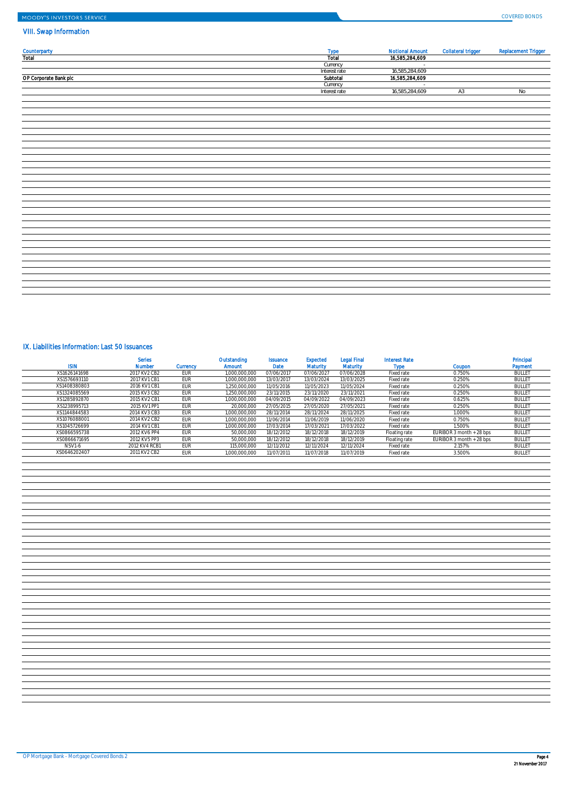# VIII. Swap Information

## IX. Liabilities Information: Last 50 Issuances

| <b>SIN</b>   | <b>Series</b><br><b>Number</b> | <b>Currency</b> | Outstanding<br>Amount | <b>Issuance</b><br>Date | Expected<br>Maturity | <b>Legal Final</b><br><b>Maturity</b> | <b>Interest Rate</b> | Coupon | Principal<br>Payment |
|--------------|--------------------------------|-----------------|-----------------------|-------------------------|----------------------|---------------------------------------|----------------------|--------|----------------------|
| XS1626141698 | 2017 KV2 CB2                   | EUR             | 1,000,000,000         | 07/06/2017              | 07/06/2021           | 07/06/2028                            | Fixed rate           | 0.750% | <b>BULLE</b>         |
| XS1576693110 | 2017 KV1 CB1                   | <u>:</u> UR     | 1,000,000,000         | 13/03/2017              | 13/03/2024           | 13/03/2025                            | Fixed rate           | 0.250% | <b>BULLE</b>         |
| XS1408380803 | 2016 KV1 CB1                   | EUR             | 250,000,000           | 11/05/2016              | 11/05/2023           | 11/05/2024                            | Fixed rate           | 0.250% | <b>BULLE</b>         |
| XS1324085569 | 2015 KV3 CB2                   | EUR             | ,250,000,000          | 23/11/2015              | 23/11/2020           | 23/11/2021                            | Fixed rate           | 0.250% | <b>BULLE</b>         |

|                       | Type          | <b>Notional Amount</b> | Collateral trigger | Replacement Trigger |
|-----------------------|---------------|------------------------|--------------------|---------------------|
| Counterparty<br>Total | Total         | 16,585,284,609         |                    |                     |
|                       | Currency      | and the control of     |                    |                     |
|                       | Interest rate | 16,585,284,609         |                    |                     |
| OP Corporate Bank plc | Subtotal      | 16,585,284,609         |                    |                     |
|                       | Currency      | $\sim 10^{-1}$         |                    |                     |
|                       | Interest rate | 16,585,284,609         | A3                 | No                  |
|                       |               |                        |                    |                     |
|                       |               |                        |                    |                     |
|                       |               |                        |                    |                     |
|                       |               |                        |                    |                     |
|                       |               |                        |                    |                     |
|                       |               |                        |                    |                     |
|                       |               |                        |                    |                     |
|                       |               |                        |                    |                     |
|                       |               |                        |                    |                     |
|                       |               |                        |                    |                     |
|                       |               |                        |                    |                     |
|                       |               |                        |                    |                     |
|                       |               |                        |                    |                     |
|                       |               |                        |                    |                     |
|                       |               |                        |                    |                     |
|                       |               |                        |                    |                     |
|                       |               |                        |                    |                     |
|                       |               |                        |                    |                     |
|                       |               |                        |                    |                     |
|                       |               |                        |                    |                     |
|                       |               |                        |                    |                     |
|                       |               |                        |                    |                     |
|                       |               |                        |                    |                     |
|                       |               |                        |                    |                     |
|                       |               |                        |                    |                     |
|                       |               |                        |                    |                     |
|                       |               |                        |                    |                     |
|                       |               |                        |                    |                     |
|                       |               |                        |                    |                     |
|                       |               |                        |                    |                     |

| XS1285892870  | 2015 KV2 CB1  | <b>EUR</b> | 1,000,000,000 | 04/09/2015 | 04/09/2022 | 04/09/2023 | Fixed rate    | 0.625%                    | <b>BULLE</b>  |
|---------------|---------------|------------|---------------|------------|------------|------------|---------------|---------------------------|---------------|
| XS1238995713  | 2015 KV1 PP1  | <b>EUR</b> | 20,000,000    | 27/05/2015 | 27/05/2020 | 27/05/2021 | Fixed rate    | 0.250%                    | <b>BULLET</b> |
| XS1144844583  | 2014 KV3 CB3  | <b>EUR</b> | 1,000,000,000 | 28/11/2014 | 28/11/2024 | 28/11/2025 | Fixed rate    | 1.000%                    | <b>BULLET</b> |
| XS1076088001  | 2014 KV2 CB2  | <b>EUR</b> | 1,000,000,000 | 11/06/2014 | 11/06/2019 | 11/06/2020 | Fixed rate    | 0.750%                    | <b>BULLET</b> |
| XS1045726699  | 2014 KV1 CB1  | EUR        | 1,000,000,000 | 17/03/2014 | 17/03/2021 | 17/03/2022 | Fixed rate    | 1.500%                    | <b>BULLET</b> |
| XS0866595738  | 2012 KV6 PP4  | <b>EUR</b> | 50,000,000    | 18/12/2012 | 18/12/2018 | 18/12/2019 | Floating rate | EURIBOR 3 month $+28$ bps | <b>BULLET</b> |
| XS0866671695  | 2012 KV5 PP3  | EUR        | 50,000,000    | 18/12/2012 | 18/12/2018 | 18/12/2019 | Floating rate | EURIBOR 3 month $+28$ bps | <b>BULLET</b> |
| <b>NSV1-6</b> | 2012 KV4 RCB1 | <b>EUR</b> | 115,000,000   | 12/11/2012 | 12/11/2024 | 12/11/2024 | Fixed rate    | 2.157%                    | <b>BULLE</b>  |
| XS0646202407  | 2011 KV2 CB2  | <b>EUR</b> | 1,000,000,000 | 11/07/2011 | 11/07/2018 | 11/07/2019 | Fixed rate    | 3.500%                    | <b>BULLET</b> |